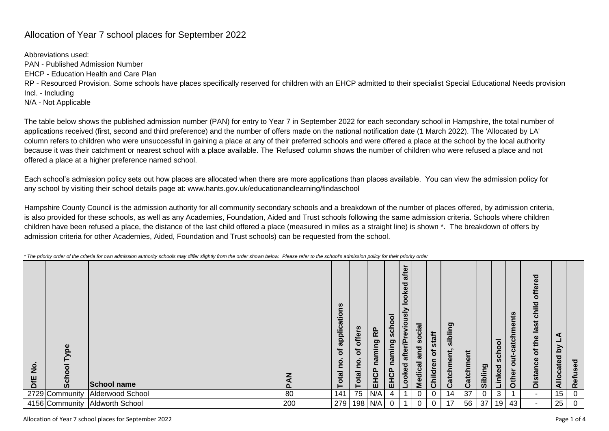## Allocation of Year 7 school places for September 2022

Abbreviations used: PAN - Published Admission Number EHCP - Education Health and Care Plan RP - Resourced Provision. Some schools have places specifically reserved for children with an EHCP admitted to their specialist Special Educational Needs provision Incl. - Including N/A - Not Applicable

The table below shows the published admission number (PAN) for entry to Year 7 in September 2022 for each secondary school in Hampshire, the total number of applications received (first, second and third preference) and the number of offers made on the national notification date (1 March 2022). The 'Allocated by LA' column refers to children who were unsuccessful in gaining a place at any of their preferred schools and were offered a place at the school by the local authority because it was their catchment or nearest school with a place available. The 'Refused' column shows the number of children who were refused a place and not offered a place at a higher preference named school.

Each school's admission policy sets out how places are allocated when there are more applications than places available. You can view the admission policy for any school by visiting their school details page at: www.hants.gov.uk/educationandlearning/findaschool

Hampshire County Council is the admission authority for all community secondary schools and a breakdown of the number of places offered, by admission criteria, is also provided for these schools, as well as any Academies, Foundation, Aided and Trust schools following the same admission criteria. Schools where children children have been refused a place, the distance of the last child offered a place (measured in miles as a straight line) is shown \*. The breakdown of offers by admission criteria for other Academies, Aided, Foundation and Trust schools) can be requested from the school.

| ype<br>$\frac{9}{2}$<br>ō<br><b>SHD</b><br>ဖွ | <b>School name</b>     |     | applications<br>৳<br>e<br>Total | offers<br>৳<br>$\overline{O}$<br>$\mathbf{C}$<br>Total | 운<br>ming<br><b>na</b><br>EHCP | ठ<br>o<br>ᇰ<br>ဒ္တ<br>ත<br>Ξ.<br>Ē<br>ā<br><u>n</u><br>핎 | ►<br>after<br>ਹ<br>Φ<br>Ϋ<br>$\circ$<br>$\circ$<br>Visn<br><u>io</u><br>ဨ<br>문<br>afte<br>ਠ<br>Looke | $\overline{\mathbf{e}}$<br>$\mathbf{o}$<br>$\bf{S}$<br>and<br>Medical | staff<br>৳<br>Children | ဥ္<br>ibli<br>atchment<br>ت | Catchment | Sibling | school<br>Linked | catchments<br>but-<br>Other | offered<br>child<br>last<br>of the<br>Distance | -<br><u>کر</u><br>cated<br>$\frac{1}{2}$ | sed<br><b>Refu</b> |
|-----------------------------------------------|------------------------|-----|---------------------------------|--------------------------------------------------------|--------------------------------|----------------------------------------------------------|------------------------------------------------------------------------------------------------------|-----------------------------------------------------------------------|------------------------|-----------------------------|-----------|---------|------------------|-----------------------------|------------------------------------------------|------------------------------------------|--------------------|
| 2729 Community                                | Alderwood School       | 80  | 141                             | 75                                                     | N/A                            |                                                          |                                                                                                      | 0                                                                     | 0                      | 14                          | 37        | 0       | 3                |                             | $\sim$                                         | 15 <sub>15</sub>                         | 0                  |
| 4156 Community                                | <b>Aldworth School</b> | 200 | 279                             |                                                        | 198 N/A                        |                                                          |                                                                                                      | 0                                                                     | 0                      | 17                          | 56        | 37      | 19 <sup>1</sup>  | 43                          | $\sim$                                         | 25                                       | 0                  |

Allocation of Year 7 school places for September 2022 Page 1 of 4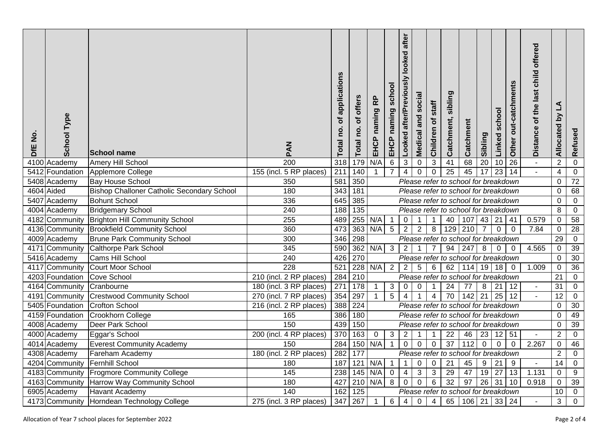| ş<br>DfE | <b>School Type</b> | <b>School name</b>                                | MAQ                     | applications<br>৳<br>no.<br>Total | offers<br>ð<br><u>o</u><br>Total | 운<br>naming<br>EHCP                                    | school<br>naming<br>EHCP | after<br>looked<br>after/Previously<br>Looked | cial<br>ğ<br>and<br>Medical | staff<br>đ<br>Children | sibling<br>Catchment,                | Catchment        | Sibling         | Linked school   | Other out-catchments | offered<br>child<br>Distance of the last | ₹<br>Δ<br>Allocated | Refused                        |
|----------|--------------------|---------------------------------------------------|-------------------------|-----------------------------------|----------------------------------|--------------------------------------------------------|--------------------------|-----------------------------------------------|-----------------------------|------------------------|--------------------------------------|------------------|-----------------|-----------------|----------------------|------------------------------------------|---------------------|--------------------------------|
|          | 4100 Academy       | Amery Hill School                                 | $\overline{200}$        | 318                               | 179                              | N/A                                                    | 6                        | $\overline{3}$                                | $\mathbf 0$                 | $\mathbf{3}$           | 41                                   | 68               | $\overline{20}$ | 10              | $\overline{26}$      | $\blacksquare$                           | $\overline{2}$      | $\mathbf{0}$                   |
|          | 5412 Foundation    | Applemore College                                 | 155 (incl. 5 RP places) | 211                               | 140                              | $\mathbf{1}$                                           | $\overline{7}$           | $\overline{4}$                                | $\overline{0}$              | $\mathbf 0$            | $\overline{25}$                      | 45               | $\overline{17}$ | $\overline{23}$ | 14                   |                                          | 4<br>$\mathbf 0$    | $\mathbf 0$<br>$\overline{72}$ |
|          | 5408 Academy       | <b>Bay House School</b>                           | 350                     | 581                               | 350                              | Please refer to school for breakdown<br>$\mathbf{0}$   |                          |                                               |                             |                        |                                      |                  |                 |                 |                      |                                          |                     |                                |
|          | 4604 Aided         | <b>Bishop Challoner Catholic Secondary School</b> | 180                     | 343                               | 181                              | Please refer to school for breakdown                   |                          |                                               |                             |                        |                                      |                  |                 |                 |                      |                                          |                     | 68<br>$\mathbf 0$              |
|          | 5407 Academy       | <b>Bohunt School</b>                              | 336                     | 645                               | 385                              | Please refer to school for breakdown<br>$\mathbf 0$    |                          |                                               |                             |                        |                                      |                  |                 |                 |                      |                                          |                     |                                |
|          | 4004 Academy       | <b>Bridgemary School</b>                          | 240                     | 188                               | $\overline{135}$                 | 8<br>Please refer to school for breakdown<br>107 43 21 |                          |                                               |                             |                        |                                      |                  |                 |                 |                      |                                          |                     |                                |
|          | 4182 Community     | <b>Brighton Hill Community School</b>             | $\overline{255}$        | 489                               |                                  | 255 N/A                                                | $\mathbf{1}$             | $\mathbf 0$                                   | $\mathbf{1}$                | $\mathbf{1}$           | 40                                   |                  |                 |                 | $\vert$ 41           | 0.579                                    | $\mathbf 0$         | 58                             |
|          | 4136 Community     | <b>Brookfield Community School</b>                | 360                     | 473                               |                                  | 363 N/A                                                | 5 <sup>5</sup>           | $\overline{2}$                                | $\overline{2}$              | 8                      |                                      | $129$ 210        | $\overline{7}$  | $\mathbf 0$     | $\mathbf{0}$         | 7.84                                     | $\mathbf 0$         | $\overline{28}$                |
|          | 4009 Academy       | <b>Brune Park Community School</b>                | 300                     | 346                               | 298                              |                                                        |                          |                                               |                             |                        | Please refer to school for breakdown |                  |                 |                 |                      |                                          | 29                  | $\mathbf 0$                    |
|          | 4171 Community     | Calthorpe Park School                             | $\frac{1}{345}$         | 590                               |                                  | 362 N/A                                                | $\overline{3}$           | 2 <sup>1</sup>                                | $\mathbf{1}$                | $\overline{7}$         | 94                                   | $\overline{247}$ | 8 <sup>1</sup>  | $\mathbf 0$     | $\mathbf 0$          | 4.565                                    | $\mathbf 0$         | 39                             |
|          | 5416 Academy       | Cams Hill School                                  | 240                     | 426                               | $\overline{270}$                 |                                                        |                          |                                               |                             |                        | Please refer to school for breakdown |                  |                 |                 |                      |                                          | $\mathbf 0$         | 30                             |
|          | 4117 Community     | <b>Court Moor School</b>                          | 228                     | 521                               |                                  | 228 N/A                                                | $\overline{2}$           | $2^{\circ}$                                   | $\sqrt{5}$                  | $\,6$                  | 62                                   | $114$ 19 18      |                 |                 | $\overline{0}$       | 1.009                                    | $\mathbf 0$         | $\overline{36}$                |
|          | 4203 Foundation    | <b>Cove School</b>                                | 210 (incl. 2 RP places) | 284                               | 210                              |                                                        |                          |                                               |                             |                        | Please refer to school for breakdown |                  |                 |                 |                      |                                          | 21                  | $\mathbf 0$                    |
|          | 4164 Community     | Cranbourne                                        | 180 (incl. 3 RP places) | 271                               | 178                              | $\mathbf{1}$                                           | 3 <sup>1</sup>           | $\overline{0}$                                | $\mathbf 0$                 | $\mathbf{1}$           | 24                                   | 77               | 8               | 21              | 12                   | ÷,                                       | 31                  | $\mathbf 0$                    |
|          | 4191 Community     | <b>Crestwood Community School</b>                 | 270 (incl. 7 RP places) | 354                               | 297                              | $\mathbf{1}$                                           | $\overline{5}$           | $\overline{4}$                                |                             | $\overline{4}$         | $\overline{70}$                      | 142              | $\overline{21}$ | $\overline{25}$ | 12                   |                                          | 12                  | $\mathbf 0$                    |
|          | 5405 Foundation    | <b>Crofton School</b>                             | 216 (incl. 2 RP places) | 388                               | 224                              |                                                        |                          |                                               |                             |                        | Please refer to school for breakdown |                  |                 |                 |                      |                                          | $\mathbf 0$         | 30                             |
|          | 4159 Foundation    | <b>Crookhorn College</b>                          | 165                     | 386                               | 180                              |                                                        |                          |                                               |                             |                        | Please refer to school for breakdown |                  |                 |                 |                      |                                          | $\mathbf 0$         | 49                             |
|          | 4008 Academy       | Deer Park School                                  | 150                     | 439                               | 150                              | Please refer to school for breakdown                   |                          |                                               |                             |                        |                                      |                  |                 |                 |                      |                                          | $\mathbf 0$         | 39                             |
|          | 4000 Academy       | Eggar's School                                    | 200 (incl. 4 RP places) | 370                               | 163                              | $\mathbf 0$                                            | 3 <sup>1</sup>           | $\overline{2}$                                | $\mathbf{1}$                | $\mathbf 1$            | 22                                   | 46               |                 | 23 12           | 51                   | $\blacksquare$                           | $\overline{2}$      | $\mathbf 0$                    |
|          | 4014 Academy       | <b>Everest Community Academy</b>                  | 150                     | 284                               |                                  | $150$ N/A                                              | $\mathbf{1}$             | $\overline{0}$                                | $\mathbf 0$                 | $\mathbf 0$            | $\overline{37}$                      | 112              | $\mathbf 0$     | $\mathbf 0$     | $\mathbf 0$          | 2.267                                    | $\mathbf 0$         | 46                             |
|          | 4308 Academy       | Fareham Academy                                   | 180 (incl. 2 RP places) | 282                               | $\frac{1}{177}$                  |                                                        |                          |                                               |                             |                        | Please refer to school for breakdown |                  |                 |                 |                      |                                          | $\overline{2}$      | $\mathbf 0$                    |
|          | 4204 Community     | Fernhill School                                   | 180                     | 187                               |                                  | $121$ N/A                                              | $\mathbf{1}$             | $\mathbf{1}$                                  | $\overline{0}$              | $\mathbf 0$            | 21                                   | 45               | 9               | 21              | 9                    | $\blacksquare$                           | 14                  | $\mathbf 0$                    |
|          | 4183 Community     | <b>Frogmore Community College</b>                 | $\frac{145}{145}$       | 238                               |                                  | $145$ N/A                                              | $\overline{0}$           | $\overline{4}$                                | $\sqrt{3}$                  | 3                      | 29                                   | $\overline{47}$  | 19              | 27              | $\overline{13}$      | 1.131                                    | $\mathbf 0$         | 9                              |
|          | 4163 Community     | Harrow Way Community School                       | 180                     | 427                               |                                  | $210$ N/A                                              | $\overline{8}$           | $\overline{0}$                                | $\overline{0}$              | $\overline{6}$         | $\overline{32}$                      | 97               | 26              | $\overline{31}$ | $\overline{10}$      | 0.918                                    | $\mathbf 0$         | 39                             |
|          | 6905 Academy       | <b>Havant Academy</b>                             | 140                     | 162                               | $\overline{125}$                 |                                                        |                          |                                               |                             |                        | Please refer to school for breakdown |                  |                 |                 |                      |                                          | 10                  | $\mathbf 0$                    |
|          | 4173 Community     | Horndean Technology College                       | 275 (incl. 3 RP places) | 347                               | 267                              | $\mathbf{1}$                                           | 6                        | $\overline{4}$                                | $\mathbf 0$                 | $\overline{4}$         | 65                                   | $106$ 21 33 24   |                 |                 |                      | $\omega$                                 | 3                   | $\pmb{0}$                      |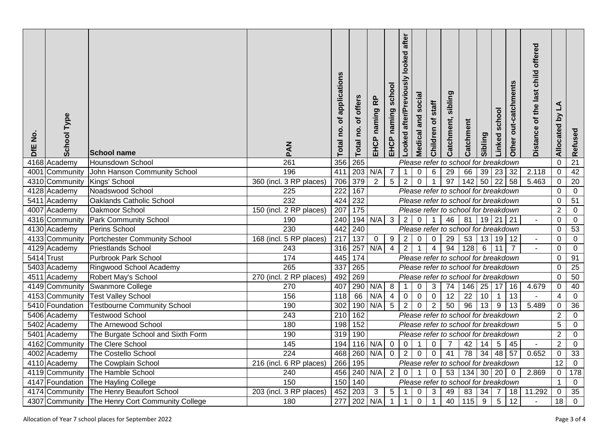| <u>ş</u><br><b>SFE</b> | <b>School Type</b> | <b>School name</b>                  | MAD                     | applications<br>৳<br><u>p</u><br><b>Total</b> | offers<br>৳<br><u>io</u><br>Total | RP<br>C<br>naming<br>EHCP                                                                                                                           | school<br>EHCP naming | after<br>looked<br>after/Previously<br>Looked | <u>ial</u><br>Š<br>and<br>Medical | staff<br>৳<br>Children | sibling<br>Catchment,                | Catchment        | Sibling          | Linked school  | Other out-catchments | offered<br>child<br>Distance of the last | $\Delta$<br>λđ<br>Allocated | Refused                        |
|------------------------|--------------------|-------------------------------------|-------------------------|-----------------------------------------------|-----------------------------------|-----------------------------------------------------------------------------------------------------------------------------------------------------|-----------------------|-----------------------------------------------|-----------------------------------|------------------------|--------------------------------------|------------------|------------------|----------------|----------------------|------------------------------------------|-----------------------------|--------------------------------|
|                        | 4168 Academy       | Hounsdown School                    | 261                     | 356                                           | 265                               |                                                                                                                                                     |                       |                                               |                                   |                        | Please refer to school for breakdown |                  |                  |                |                      |                                          | $\mathbf 0$                 | 21                             |
|                        | 4001 Community     | John Hanson Community School        | 196                     | 411                                           |                                   | 203 N/A                                                                                                                                             | $\overline{7}$        | $\mathbf{1}$                                  | $\mathbf 0$                       | $\,6$                  | 29                                   | 66               |                  | $39$ 23        | 32                   | 2.118                                    | $\mathbf 0$                 | 42                             |
|                        | 4310 Community     | Kings' School                       | 360 (incl. 3 RP places) | 706                                           | 379                               | $\overline{2}$                                                                                                                                      | $\overline{5}$        | $\sqrt{2}$                                    | $\mathbf 0$                       |                        | 97                                   | 142              | $50$ 22          |                | 58                   | 5.463                                    | $\mathbf 0$                 | $\overline{20}$                |
|                        | 4128 Academy       | Noadswood School                    | 225                     | 222                                           | 167                               | Please refer to school for breakdown<br>$\mathbf 0$                                                                                                 |                       |                                               |                                   |                        |                                      |                  |                  |                |                      |                                          |                             | $\mathbf 0$<br>$\overline{51}$ |
|                        | 5411 Academy       | Oaklands Catholic School            | 232                     | 424                                           | 232                               | Please refer to school for breakdown<br>$\mathbf 0$                                                                                                 |                       |                                               |                                   |                        |                                      |                  |                  |                |                      |                                          |                             |                                |
|                        | 4007 Academy       | Oakmoor School                      | 150 (incl. 2 RP places) | 207                                           | $\frac{175}{175}$                 | $\overline{2}$<br>Please refer to school for breakdown                                                                                              |                       |                                               |                                   |                        |                                      |                  |                  |                |                      |                                          |                             |                                |
|                        | 4316 Community     | <b>Park Community School</b>        | 190                     | 240                                           |                                   | 194 N/A<br>$\overline{3}$<br>$\overline{2}$<br>$\overline{0}$<br>46<br>81<br>$19$ 21<br>$\overline{1}$<br>$\vert$ 21<br>$\mathbf 0$<br>$\mathbf{u}$ |                       |                                               |                                   |                        |                                      |                  |                  |                |                      |                                          |                             | $\mathbf 0$                    |
|                        | 4130 Academy       | Perins School                       | 230                     | 442                                           | 240                               |                                                                                                                                                     |                       |                                               |                                   |                        | Please refer to school for breakdown |                  |                  |                |                      |                                          | $\mathbf 0$                 | 53                             |
|                        | 4133 Community     | <b>Portchester Community School</b> | 168 (incl. 5 RP places) | $\overline{217}$                              | 137                               | $\mathbf 0$                                                                                                                                         | 9                     | $\overline{2}$                                | $\mathbf 0$                       | $\mathbf 0$            | 29                                   | 53               |                  | $13$ 19        | 12                   | $\blacksquare$                           | $\mathbf 0$                 | $\mathbf 0$                    |
|                        | 4129 Academy       | <b>Priestlands School</b>           | 243                     | 316                                           | 257                               | N/A                                                                                                                                                 | $\overline{4}$        | $\overline{2}$                                | $\mathbf{1}$                      | $\overline{4}$         | 94                                   | 128              | $6\phantom{1}$   | 11             | $\overline{7}$       |                                          | $\Omega$                    | $\mathbf 0$                    |
|                        | 5414 Trust         | <b>Purbrook Park School</b>         | 174                     | 445                                           | 174                               |                                                                                                                                                     |                       |                                               |                                   |                        | Please refer to school for breakdown |                  |                  |                |                      |                                          | 0                           | 91                             |
|                        | 5403 Academy       | Ringwood School Academy             | 265                     | 337                                           | 265                               |                                                                                                                                                     |                       |                                               |                                   |                        | Please refer to school for breakdown |                  |                  |                |                      |                                          | $\mathbf 0$                 | $\overline{25}$                |
|                        | 4511 Academy       | Robert May's School                 | 270 (incl. 2 RP places) | 492                                           | 269                               |                                                                                                                                                     |                       |                                               |                                   |                        | Please refer to school for breakdown |                  |                  |                |                      |                                          | $\mathbf 0$                 | 50                             |
|                        | 4149 Community     | Swanmore College                    | 270                     | 407                                           |                                   | 290 N/A                                                                                                                                             | 8                     | $\mathbf{1}$                                  | $\pmb{0}$                         | $\mathbf{3}$           | 74                                   | 146 25 17        |                  |                | 16                   | 4.679                                    | $\mathbf 0$                 | 40                             |
|                        | 4153 Community     | <b>Test Valley School</b>           | 156                     | 118                                           | 66                                | N/A                                                                                                                                                 | $\overline{4}$        | $\overline{0}$                                | $\mathbf 0$                       | $\pmb{0}$              | $\overline{12}$                      | $\overline{22}$  | 10               | $\overline{1}$ | $\overline{13}$      |                                          | 4                           | $\mathbf 0$                    |
|                        | 5410 Foundation    | <b>Testbourne Community School</b>  | 190                     | 302                                           |                                   | 190 N/A                                                                                                                                             | $\overline{5}$        | $\overline{2}$                                | $\mathbf 0$                       | $\overline{2}$         | 50                                   | 96               | 13               | $9\,$          | 13                   | 5.489                                    | $\mathbf 0$                 | $\overline{36}$                |
|                        | 5406 Academy       | <b>Testwood School</b>              | 243                     | 210                                           | 162                               |                                                                                                                                                     |                       |                                               |                                   |                        | Please refer to school for breakdown |                  |                  |                |                      |                                          | $\overline{2}$              | $\overline{0}$                 |
|                        | 5402 Academy       | The Arnewood School                 | 180                     | 198                                           | 152                               |                                                                                                                                                     |                       |                                               |                                   |                        | Please refer to school for breakdown |                  |                  |                |                      |                                          | 5                           | $\mathbf 0$                    |
|                        | 5401 Academy       | The Burgate School and Sixth Form   | 190                     | 319                                           | 190                               |                                                                                                                                                     |                       |                                               |                                   |                        | Please refer to school for breakdown |                  |                  |                |                      |                                          | $\overline{2}$              | $\mathbf 0$                    |
|                        | 4162 Community     | The Clere School                    | 145                     | 194                                           |                                   | 116 N/A                                                                                                                                             | $\mathbf 0$           | $\mathsf{O}\xspace$                           | $\mathbf{1}$                      | $\mathbf 0$            | $\overline{7}$                       | 42               | 14               | $\sqrt{5}$     | 45                   |                                          | $\overline{2}$              | $\Omega$                       |
|                        | 4002 Academy       | The Costello School                 | 224                     | 468                                           |                                   | 260 N/A                                                                                                                                             | $\overline{0}$        | $\overline{2}$                                | $\mathsf{O}\xspace$               | $\mathbf 0$            | $\overline{41}$                      | $\overline{78}$  | 34               | 48             | 57                   | 0.652                                    | $\boldsymbol{0}$            | 33                             |
|                        | 4110 Academy       | <b>The Cowplain School</b>          | 216 (incl. 6 RP places) | 266                                           | 195                               |                                                                                                                                                     |                       |                                               |                                   |                        | Please refer to school for breakdown |                  |                  |                |                      |                                          | $\overline{12}$             | $\mathbf 0$                    |
|                        | 4119 Community     | The Hamble School                   | 240                     | 456                                           |                                   | $240$ N/A                                                                                                                                           | $\overline{2}$        | $\mathbf 0$                                   | $\mathbf{1}$                      | $\pmb{0}$              | 53                                   | 134 30 20        |                  |                | $\mathbf 0$          | 2.869                                    | $\mathbf 0$                 | 178                            |
|                        | 4147 Foundation    | The Hayling College                 | 150                     | 150                                           | 140                               |                                                                                                                                                     |                       |                                               |                                   |                        | Please refer to school for breakdown |                  |                  |                |                      |                                          | $\mathbf{1}$                | $\mathbf 0$                    |
|                        | 4174 Community     | The Henry Beaufort School           | 203 (incl. 3 RP places) | 452                                           | 203                               | $\overline{3}$                                                                                                                                      | 5                     | $\mathbf 1$                                   | $\pmb{0}$                         | $\mathbf{3}$           | 49                                   | 83               | 34               | $\overline{7}$ | 18                   | 11.292                                   | $\mathbf 0$                 | 35                             |
|                        | 4307 Community     | The Henry Cort Community College    | 180                     | $\overline{277}$                              | 202                               | N/A                                                                                                                                                 | $\mathbf{1}$          | $\mathbf{1}$                                  | $\pmb{0}$                         | $\mathbf{1}$           | 40                                   | $\overline{115}$ | $\boldsymbol{9}$ | $\sqrt{5}$     | $\overline{12}$      |                                          | 18                          | $\mathbf 0$                    |